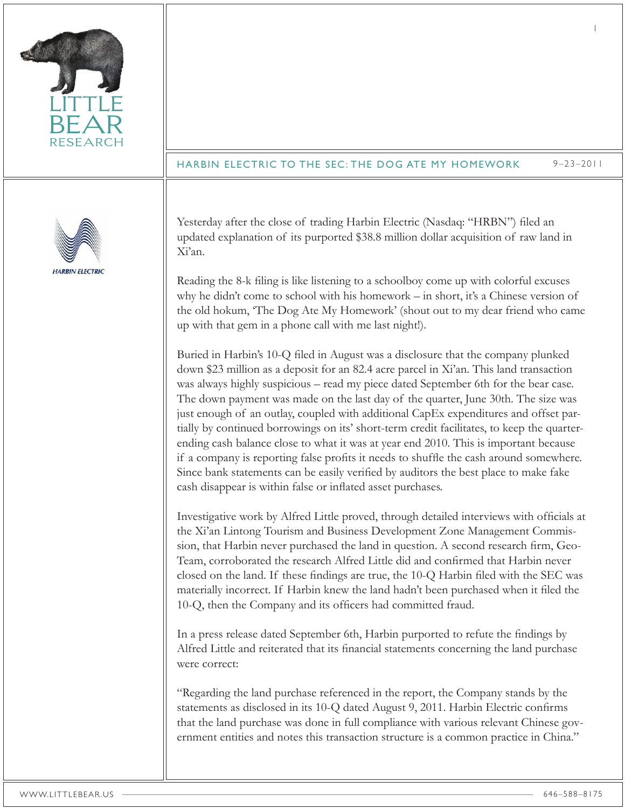| <b>RESEARCH</b>        | <b>HARBIN ELECTRIC TO THE SEC: THE DOG ATE MY HOMEWORK</b><br>$9 - 23 - 2011$                                                                                                                                                                                                                                                                                                                                                                                                                                                                                                                                                                                                                                                                                                                                                                                                                                                                                                                                                                                                                                                                                                                                                                                                                                                                                                                                                                                                                                                                                                                                                                                                                                                                                                                                                                                                                                                                                                                                                                                                                                                                                                                                                                                                                                                                                                                                                                                                                                                                                                     |
|------------------------|-----------------------------------------------------------------------------------------------------------------------------------------------------------------------------------------------------------------------------------------------------------------------------------------------------------------------------------------------------------------------------------------------------------------------------------------------------------------------------------------------------------------------------------------------------------------------------------------------------------------------------------------------------------------------------------------------------------------------------------------------------------------------------------------------------------------------------------------------------------------------------------------------------------------------------------------------------------------------------------------------------------------------------------------------------------------------------------------------------------------------------------------------------------------------------------------------------------------------------------------------------------------------------------------------------------------------------------------------------------------------------------------------------------------------------------------------------------------------------------------------------------------------------------------------------------------------------------------------------------------------------------------------------------------------------------------------------------------------------------------------------------------------------------------------------------------------------------------------------------------------------------------------------------------------------------------------------------------------------------------------------------------------------------------------------------------------------------------------------------------------------------------------------------------------------------------------------------------------------------------------------------------------------------------------------------------------------------------------------------------------------------------------------------------------------------------------------------------------------------------------------------------------------------------------------------------------------------|
| <b>HARBIN ELECTRIC</b> | Yesterday after the close of trading Harbin Electric (Nasdaq: "HRBN") filed an<br>updated explanation of its purported \$38.8 million dollar acquisition of raw land in<br>Xi'an.<br>Reading the 8-k filing is like listening to a schoolboy come up with colorful excuses<br>why he didn't come to school with his homework - in short, it's a Chinese version of<br>the old hokum, 'The Dog Ate My Homework' (shout out to my dear friend who came<br>up with that gem in a phone call with me last night!).<br>Buried in Harbin's 10-Q filed in August was a disclosure that the company plunked<br>down \$23 million as a deposit for an 82.4 acre parcel in Xi'an. This land transaction<br>was always highly suspicious – read my piece dated September 6th for the bear case.<br>The down payment was made on the last day of the quarter, June 30th. The size was<br>just enough of an outlay, coupled with additional CapEx expenditures and offset par-<br>tially by continued borrowings on its' short-term credit facilitates, to keep the quarter-<br>ending cash balance close to what it was at year end 2010. This is important because<br>if a company is reporting false profits it needs to shuffle the cash around somewhere.<br>Since bank statements can be easily verified by auditors the best place to make fake<br>cash disappear is within false or inflated asset purchases.<br>Investigative work by Alfred Little proved, through detailed interviews with officials at<br>the Xi'an Lintong Tourism and Business Development Zone Management Commis-<br>sion, that Harbin never purchased the land in question. A second research firm, Geo-<br>Team, corroborated the research Alfred Little did and confirmed that Harbin never<br>closed on the land. If these findings are true, the 10-Q Harbin filed with the SEC was<br>materially incorrect. If Harbin knew the land hadn't been purchased when it filed the<br>10-Q, then the Company and its officers had committed fraud.<br>In a press release dated September 6th, Harbin purported to refute the findings by<br>Alfred Little and reiterated that its financial statements concerning the land purchase<br>were correct:<br>"Regarding the land purchase referenced in the report, the Company stands by the<br>statements as disclosed in its 10-Q dated August 9, 2011. Harbin Electric confirms<br>that the land purchase was done in full compliance with various relevant Chinese gov-<br>ernment entities and notes this transaction structure is a common practice in China." |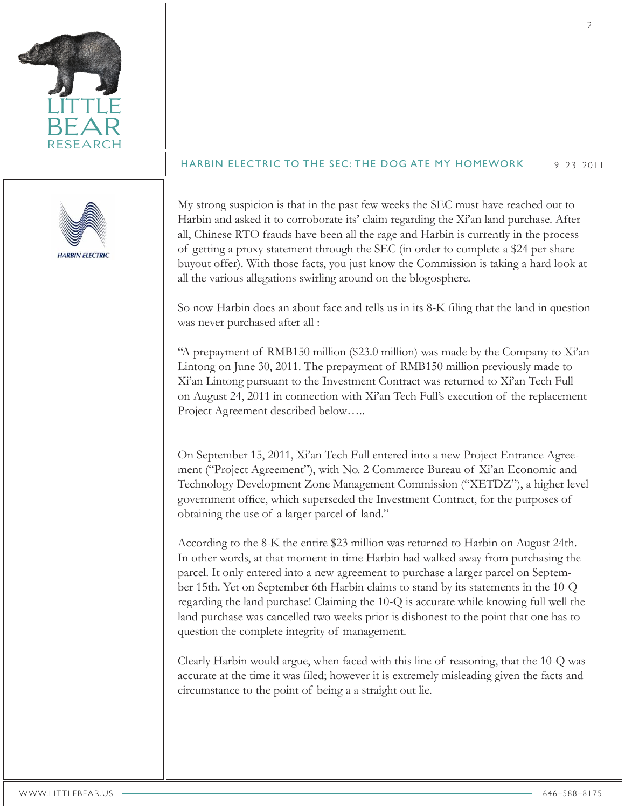